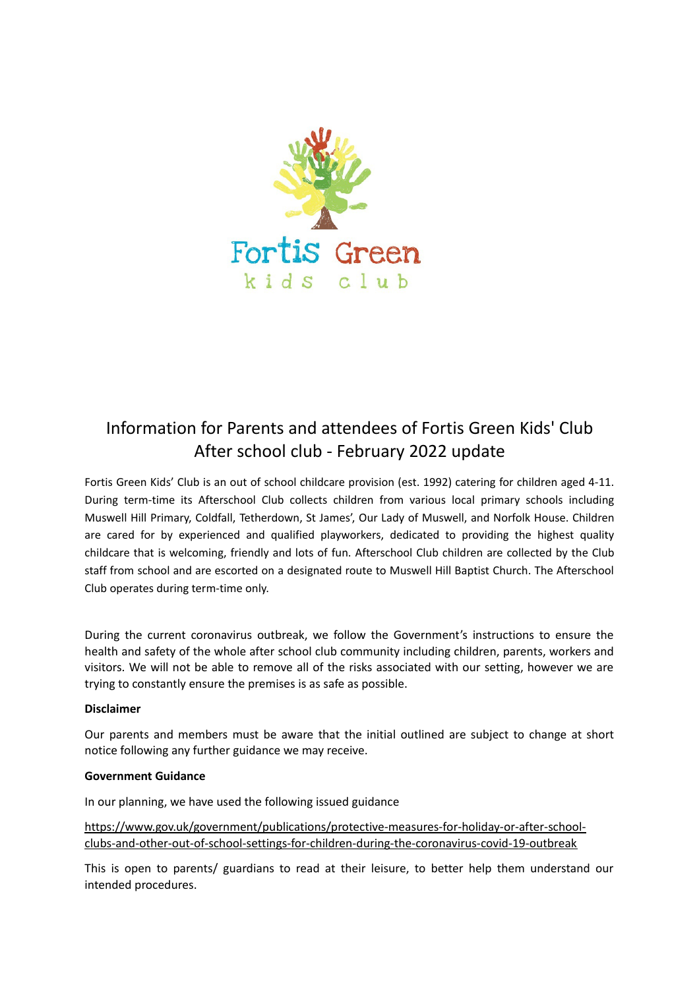

# Information for Parents and attendees of Fortis Green Kids' Club After school club - February 2022 update

Fortis Green Kids' Club is an out of school childcare provision (est. 1992) catering for children aged 4-11. During term-time its Afterschool Club collects children from various local primary schools including Muswell Hill Primary, Coldfall, Tetherdown, St James', Our Lady of Muswell, and Norfolk House. Children are cared for by experienced and qualified playworkers, dedicated to providing the highest quality childcare that is welcoming, friendly and lots of fun. Afterschool Club children are collected by the Club staff from school and are escorted on a designated route to Muswell Hill Baptist Church. The Afterschool Club operates during term-time only.

During the current coronavirus outbreak, we follow the Government's instructions to ensure the health and safety of the whole after school club community including children, parents, workers and visitors. We will not be able to remove all of the risks associated with our setting, however we are trying to constantly ensure the premises is as safe as possible.

# **Disclaimer**

Our parents and members must be aware that the initial outlined are subject to change at short notice following any further guidance we may receive.

# **Government Guidance**

In our planning, we have used the following issued guidance

https://www.gov.uk/government/publications/protective-measures-for-holiday-or-after-schoolclubs-and-other-out-of-school-settings-for-children-during-the-coronavirus-covid-19-outbreak

This is open to parents/ guardians to read at their leisure, to better help them understand our intended procedures.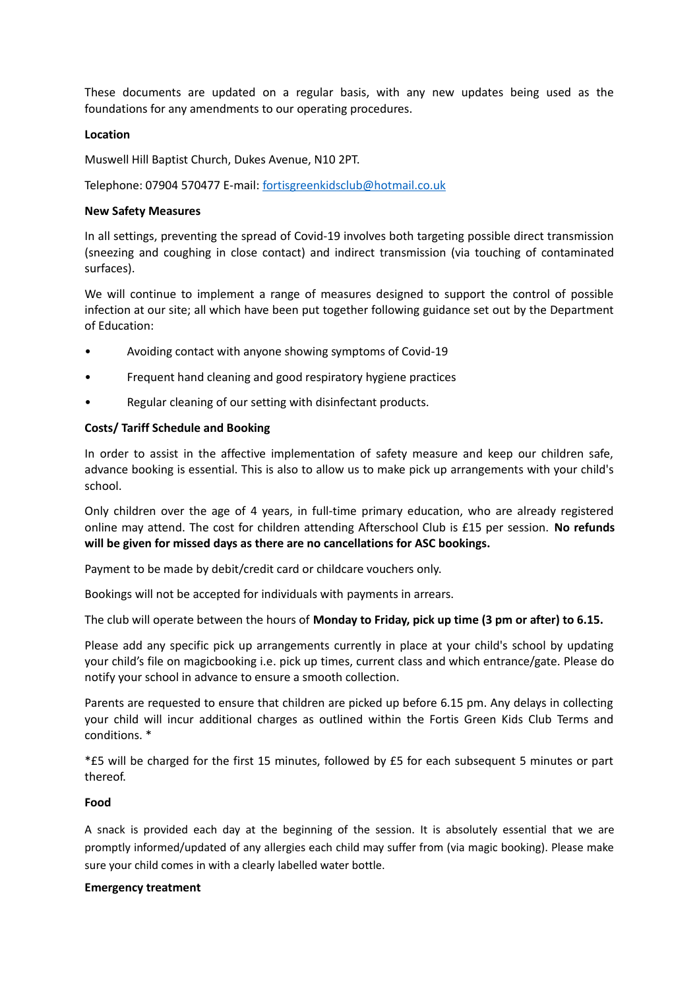These documents are updated on a regular basis, with any new updates being used as the foundations for any amendments to our operating procedures.

#### **Location**

Muswell Hill Baptist Church, Dukes Avenue, N10 2PT.

Telephone: 07904 570477 E-mail: [fortisgreenkidsclub@hotmail.co.uk](mailto:fortisgreenkidsclub@hotmail.co.uk)

## **New Safety Measures**

In all settings, preventing the spread of Covid-19 involves both targeting possible direct transmission (sneezing and coughing in close contact) and indirect transmission (via touching of contaminated surfaces).

We will continue to implement a range of measures designed to support the control of possible infection at our site; all which have been put together following guidance set out by the Department of Education:

- Avoiding contact with anyone showing symptoms of Covid-19
- Frequent hand cleaning and good respiratory hygiene practices
- Regular cleaning of our setting with disinfectant products.

## **Costs/ Tariff Schedule and Booking**

In order to assist in the affective implementation of safety measure and keep our children safe, advance booking is essential. This is also to allow us to make pick up arrangements with your child's school.

Only children over the age of 4 years, in full-time primary education, who are already registered online may attend. The cost for children attending Afterschool Club is £15 per session. **No refunds will be given for missed days as there are no cancellations for ASC bookings.**

Payment to be made by debit/credit card or childcare vouchers only.

Bookings will not be accepted for individuals with payments in arrears.

The club will operate between the hours of **Monday to Friday, pick up time (3 pm or after) to 6.15.**

Please add any specific pick up arrangements currently in place at your child's school by updating your child's file on magicbooking i.e. pick up times, current class and which entrance/gate. Please do notify your school in advance to ensure a smooth collection.

Parents are requested to ensure that children are picked up before 6.15 pm. Any delays in collecting your child will incur additional charges as outlined within the Fortis Green Kids Club Terms and conditions. \*

\*£5 will be charged for the first 15 minutes, followed by £5 for each subsequent 5 minutes or part thereof.

## **Food**

A snack is provided each day at the beginning of the session. It is absolutely essential that we are promptly informed/updated of any allergies each child may suffer from (via magic booking). Please make sure your child comes in with a clearly labelled water bottle.

#### **Emergency treatment**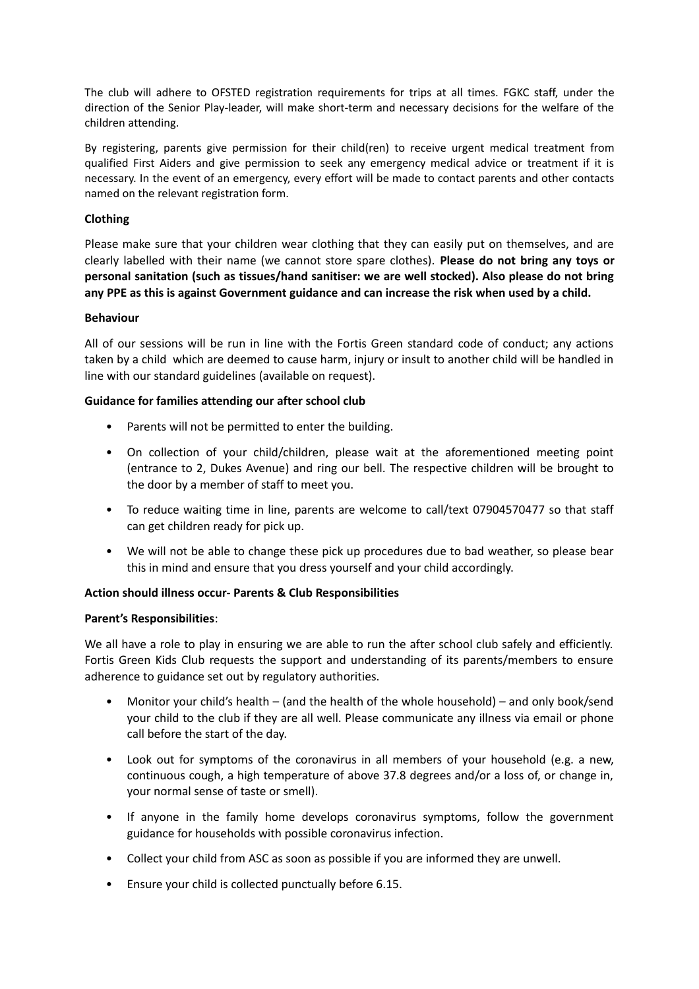The club will adhere to OFSTED registration requirements for trips at all times. FGKC staff, under the direction of the Senior Play-leader, will make short-term and necessary decisions for the welfare of the children attending.

By registering, parents give permission for their child(ren) to receive urgent medical treatment from qualified First Aiders and give permission to seek any emergency medical advice or treatment if it is necessary. In the event of an emergency, every effort will be made to contact parents and other contacts named on the relevant registration form.

# **Clothing**

Please make sure that your children wear clothing that they can easily put on themselves, and are clearly labelled with their name (we cannot store spare clothes). **Please do not bring any toys or personal sanitation (such as tissues/hand sanitiser: we are well stocked). Also please do not bring any PPE as this is against Government guidance and can increase the risk when used by a child.**

# **Behaviour**

All of our sessions will be run in line with the Fortis Green standard code of conduct; any actions taken by a child which are deemed to cause harm, injury or insult to another child will be handled in line with our standard guidelines (available on request).

# **Guidance for families attending our after school club**

- Parents will not be permitted to enter the building.
- On collection of your child/children, please wait at the aforementioned meeting point (entrance to 2, Dukes Avenue) and ring our bell. The respective children will be brought to the door by a member of staff to meet you.
- To reduce waiting time in line, parents are welcome to call/text 07904570477 so that staff can get children ready for pick up.
- We will not be able to change these pick up procedures due to bad weather, so please bear this in mind and ensure that you dress yourself and your child accordingly.

# **Action should illness occur- Parents & Club Responsibilities**

# **Parent's Responsibilities**:

We all have a role to play in ensuring we are able to run the after school club safely and efficiently. Fortis Green Kids Club requests the support and understanding of its parents/members to ensure adherence to guidance set out by regulatory authorities.

- Monitor your child's health (and the health of the whole household) and only book/send your child to the club if they are all well. Please communicate any illness via email or phone call before the start of the day.
- Look out for symptoms of the coronavirus in all members of your household (e.g. a new, continuous cough, a high temperature of above 37.8 degrees and/or a loss of, or change in, your normal sense of taste or smell).
- If anyone in the family home develops coronavirus symptoms, follow the government guidance for households with possible coronavirus infection.
- Collect your child from ASC as soon as possible if you are informed they are unwell.
- Ensure your child is collected punctually before 6.15.